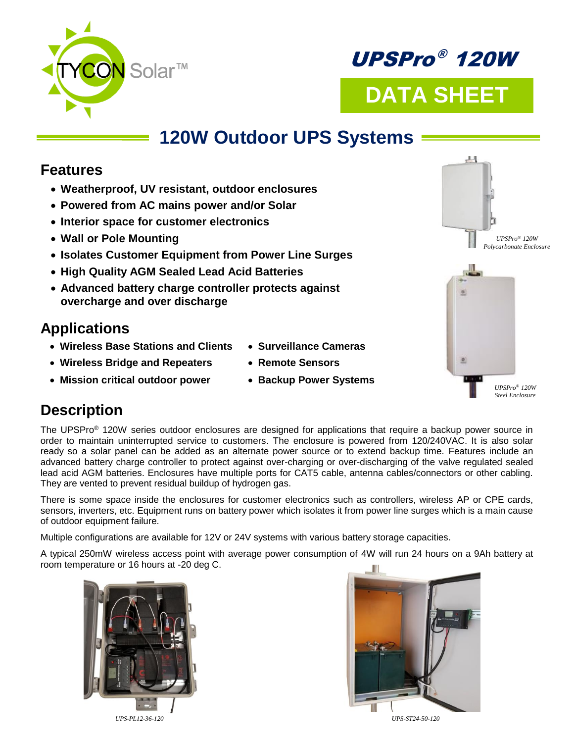



# **120W Outdoor UPS Systems**

## **Features**

- **Weatherproof, UV resistant, outdoor enclosures**
- **Powered from AC mains power and/or Solar**
- **Interior space for customer electronics**
- **Wall or Pole Mounting**
- **Isolates Customer Equipment from Power Line Surges**
- **High Quality AGM Sealed Lead Acid Batteries**
- **Advanced battery charge controller protects against overcharge and over discharge**

# **Applications**

- **Wireless Base Stations and Clients Surveillance Cameras**
- **Wireless Bridge and Repeaters Remote Sensors**
- **Mission critical outdoor power Backup Power Systems**
- 
- 
- 





## **Description**

The UPSPro® 120W series outdoor enclosures are designed for applications that require a backup power source in order to maintain uninterrupted service to customers. The enclosure is powered from 120/240VAC. It is also solar ready so a solar panel can be added as an alternate power source or to extend backup time. Features include an advanced battery charge controller to protect against over-charging or over-discharging of the valve regulated sealed lead acid AGM batteries. Enclosures have multiple ports for CAT5 cable, antenna cables/connectors or other cabling. They are vented to prevent residual buildup of hydrogen gas.

There is some space inside the enclosures for customer electronics such as controllers, wireless AP or CPE cards, sensors, inverters, etc. Equipment runs on battery power which isolates it from power line surges which is a main cause of outdoor equipment failure.

Multiple configurations are available for 12V or 24V systems with various battery storage capacities.

A typical 250mW wireless access point with average power consumption of 4W will run 24 hours on a 9Ah battery at room temperature or 16 hours at -20 deg C.